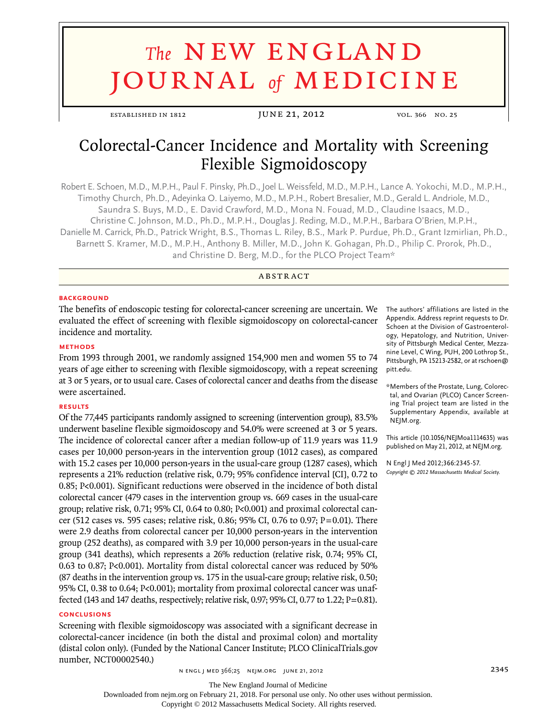# **The NEW ENGLAND** journal *of* medicine

ESTABLISHED IN 1812 **JUNE 21, 2012** vol. 366 no. 25

# Colorectal-Cancer Incidence and Mortality with Screening Flexible Sigmoidoscopy

Robert E. Schoen, M.D., M.P.H., Paul F. Pinsky, Ph.D., Joel L. Weissfeld, M.D., M.P.H., Lance A. Yokochi, M.D., M.P.H., Timothy Church, Ph.D., Adeyinka O. Laiyemo, M.D., M.P.H., Robert Bresalier, M.D., Gerald L. Andriole, M.D., Saundra S. Buys, M.D., E. David Crawford, M.D., Mona N. Fouad, M.D., Claudine Isaacs, M.D., Christine C. Johnson, M.D., Ph.D., M.P.H., Douglas J. Reding, M.D., M.P.H., Barbara O'Brien, M.P.H., Danielle M. Carrick, Ph.D., Patrick Wright, B.S., Thomas L. Riley, B.S., Mark P. Purdue, Ph.D., Grant Izmirlian, Ph.D., Barnett S. Kramer, M.D., M.P.H., Anthony B. Miller, M.D., John K. Gohagan, Ph.D., Philip C. Prorok, Ph.D., and Christine D. Berg, M.D., for the PLCO Project Team\*

# **ABSTRACT**

#### **BACKGROUND**

The benefits of endoscopic testing for colorectal-cancer screening are uncertain. We evaluated the effect of screening with flexible sigmoidoscopy on colorectal-cancer incidence and mortality.

#### **Methods**

From 1993 through 2001, we randomly assigned 154,900 men and women 55 to 74 years of age either to screening with flexible sigmoidoscopy, with a repeat screening at 3 or 5 years, or to usual care. Cases of colorectal cancer and deaths from the disease were ascertained.

#### **Results**

Of the 77,445 participants randomly assigned to screening (intervention group), 83.5% underwent baseline flexible sigmoidoscopy and 54.0% were screened at 3 or 5 years. The incidence of colorectal cancer after a median follow-up of 11.9 years was 11.9 cases per 10,000 person-years in the intervention group (1012 cases), as compared with 15.2 cases per 10,000 person-years in the usual-care group (1287 cases), which represents a 21% reduction (relative risk, 0.79; 95% confidence interval [CI], 0.72 to 0.85; P<0.001). Significant reductions were observed in the incidence of both distal colorectal cancer (479 cases in the intervention group vs. 669 cases in the usual-care group; relative risk, 0.71; 95% CI, 0.64 to 0.80; P<0.001) and proximal colorectal cancer (512 cases vs. 595 cases; relative risk, 0.86; 95% CI, 0.76 to 0.97; P=0.01). There were 2.9 deaths from colorectal cancer per 10,000 person-years in the intervention group (252 deaths), as compared with 3.9 per 10,000 person-years in the usual-care group (341 deaths), which represents a 26% reduction (relative risk, 0.74; 95% CI, 0.63 to 0.87; P<0.001). Mortality from distal colorectal cancer was reduced by 50% (87 deaths in the intervention group vs. 175 in the usual-care group; relative risk, 0.50; 95% CI, 0.38 to 0.64; P<0.001); mortality from proximal colorectal cancer was unaffected (143 and 147 deaths, respectively; relative risk, 0.97; 95% CI, 0.77 to 1.22; P=0.81).

#### **Conclusions**

Screening with flexible sigmoidoscopy was associated with a significant decrease in colorectal-cancer incidence (in both the distal and proximal colon) and mortality (distal colon only). (Funded by the National Cancer Institute; PLCO ClinicalTrials.gov number, NCT00002540.)

n engl j med 366;25 nejm.org june 21, 2012 2345

The authors' affiliations are listed in the Appendix. Address reprint requests to Dr. Schoen at the Division of Gastroenterology, Hepatology, and Nutrition, University of Pittsburgh Medical Center, Mezzanine Level, C Wing, PUH, 200 Lothrop St., Pittsburgh, PA 15213-2582, or at rschoen@ pitt.edu.

\*Members of the Prostate, Lung, Colorectal, and Ovarian (PLCO) Cancer Screening Trial project team are listed in the Supplementary Appendix, available at NEJM.org.

This article (10.1056/NEJMoa1114635) was published on May 21, 2012, at NEJM.org.

N Engl J Med 2012;366:2345-57. *Copyright © 2012 Massachusetts Medical Society.*

The New England Journal of Medicine

Downloaded from nejm.org on February 21, 2018. For personal use only. No other uses without permission.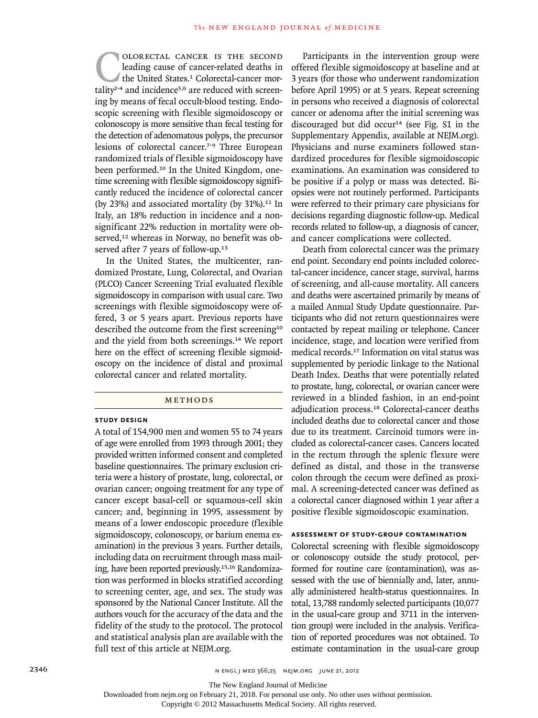COLORECTAL CANCER IS THE SECOND leading cause of cancer-related deaths in the United States.<sup>1</sup> Colorectal-cancer mortality<sup>2-4</sup> and incidence<sup>5,6</sup> are reduced with screenleading cause of cancer-related deaths in the United States.<sup>1</sup> Colorectal-cancer moring by means of fecal occult-blood testing. Endoscopic screening with flexible sigmoidoscopy or colonoscopy is more sensitive than fecal testing for the detection of adenomatous polyps, the precursor lesions of colorectal cancer.7-9 Three European randomized trials of flexible sigmoidoscopy have been performed.<sup>10</sup> In the United Kingdom, onetime screening with flexible sigmoidoscopy significantly reduced the incidence of colorectal cancer (by 23%) and associated mortality (by 31%). $11$  In Italy, an 18% reduction in incidence and a nonsignificant 22% reduction in mortality were observed,<sup>12</sup> whereas in Norway, no benefit was observed after 7 years of follow-up.<sup>13</sup>

In the United States, the multicenter, randomized Prostate, Lung, Colorectal, and Ovarian (PLCO) Cancer Screening Trial evaluated flexible sigmoidoscopy in comparison with usual care. Two screenings with flexible sigmoidoscopy were offered, 3 or 5 years apart. Previous reports have described the outcome from the first screening<sup>10</sup> and the yield from both screenings.14 We report here on the effect of screening flexible sigmoidoscopy on the incidence of distal and proximal colorectal cancer and related mortality.

#### METHODS

## **Study Design**

A total of 154,900 men and women 55 to 74 years of age were enrolled from 1993 through 2001; they provided written informed consent and completed baseline questionnaires. The primary exclusion criteria were a history of prostate, lung, colorectal, or ovarian cancer; ongoing treatment for any type of cancer except basal-cell or squamous-cell skin cancer; and, beginning in 1995, assessment by means of a lower endoscopic procedure (flexible sigmoidoscopy, colonoscopy, or barium enema examination) in the previous 3 years. Further details, including data on recruitment through mass mailing, have been reported previously.15,16 Randomization was performed in blocks stratified according to screening center, age, and sex. The study was sponsored by the National Cancer Institute. All the authors vouch for the accuracy of the data and the fidelity of the study to the protocol. The protocol and statistical analysis plan are available with the full text of this article at NEJM.org.

Participants in the intervention group were offered flexible sigmoidoscopy at baseline and at 3 years (for those who underwent randomization before April 1995) or at 5 years. Repeat screening in persons who received a diagnosis of colorectal cancer or adenoma after the initial screening was discouraged but did occur<sup>14</sup> (see Fig. S1 in the Supplementary Appendix, available at NEJM.org). Physicians and nurse examiners followed standardized procedures for flexible sigmoidoscopic examinations. An examination was considered to be positive if a polyp or mass was detected. Biopsies were not routinely performed. Participants were referred to their primary care physicians for decisions regarding diagnostic follow-up. Medical records related to follow-up, a diagnosis of cancer, and cancer complications were collected.

Death from colorectal cancer was the primary end point. Secondary end points included colorectal-cancer incidence, cancer stage, survival, harms of screening, and all-cause mortality. All cancers and deaths were ascertained primarily by means of a mailed Annual Study Update questionnaire. Participants who did not return questionnaires were contacted by repeat mailing or telephone. Cancer incidence, stage, and location were verified from medical records.17 Information on vital status was supplemented by periodic linkage to the National Death Index. Deaths that were potentially related to prostate, lung, colorectal, or ovarian cancer were reviewed in a blinded fashion, in an end-point adjudication process.18 Colorectal-cancer deaths included deaths due to colorectal cancer and those due to its treatment. Carcinoid tumors were included as colorectal-cancer cases. Cancers located in the rectum through the splenic flexure were defined as distal, and those in the transverse colon through the cecum were defined as proximal. A screening-detected cancer was defined as a colorectal cancer diagnosed within 1 year after a positive flexible sigmoidoscopic examination.

#### **Assessment of Study-Group Contamination**

Colorectal screening with flexible sigmoidoscopy or colonoscopy outside the study protocol, performed for routine care (contamination), was assessed with the use of biennially and, later, annually administered health-status questionnaires. In total, 13,788 randomly selected participants (10,077 in the usual-care group and 3711 in the intervention group) were included in the analysis. Verification of reported procedures was not obtained. To estimate contamination in the usual-care group

The New England Journal of Medicine

Downloaded from nejm.org on February 21, 2018. For personal use only. No other uses without permission.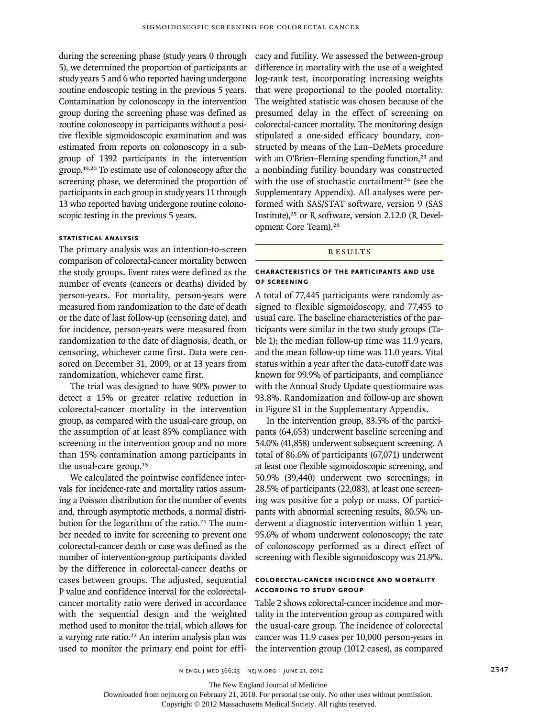during the screening phase (study years 0 through 5), we determined the proportion of participants at study years 5 and 6 who reported having undergone routine endoscopic testing in the previous 5 years. Contamination by colonoscopy in the intervention group during the screening phase was defined as routine colonoscopy in participants without a positive flexible sigmoidoscopic examination and was estimated from reports on colonoscopy in a subgroup of 1392 participants in the intervention group.19,20 To estimate use of colonoscopy after the screening phase, we determined the proportion of participants in each group in study years 11 through 13 who reported having undergone routine colonoscopic testing in the previous 5 years.

## **Statistical Analysis**

The primary analysis was an intention-to-screen comparison of colorectal-cancer mortality between the study groups. Event rates were defined as the number of events (cancers or deaths) divided by person-years. For mortality, person-years were measured from randomization to the date of death or the date of last follow-up (censoring date), and for incidence, person-years were measured from randomization to the date of diagnosis, death, or censoring, whichever came first. Data were censored on December 31, 2009, or at 13 years from randomization, whichever came first.

The trial was designed to have 90% power to detect a 15% or greater relative reduction in colorectal-cancer mortality in the intervention group, as compared with the usual-care group, on the assumption of at least 85% compliance with screening in the intervention group and no more than 15% contamination among participants in the usual-care group.<sup>15</sup>

We calculated the pointwise confidence intervals for incidence-rate and mortality ratios assuming a Poisson distribution for the number of events and, through asymptotic methods, a normal distribution for the logarithm of the ratio.<sup>21</sup> The number needed to invite for screening to prevent one colorectal-cancer death or case was defined as the number of intervention-group participants divided by the difference in colorectal-cancer deaths or cases between groups. The adjusted, sequential P value and confidence interval for the colorectalcancer mortality ratio were derived in accordance with the sequential design and the weighted method used to monitor the trial, which allows for a varying rate ratio.22 An interim analysis plan was used to monitor the primary end point for efficacy and futility. We assessed the between-group difference in mortality with the use of a weighted log-rank test, incorporating increasing weights that were proportional to the pooled mortality. The weighted statistic was chosen because of the presumed delay in the effect of screening on colorectal-cancer mortality. The monitoring design stipulated a one-sided efficacy boundary, constructed by means of the Lan–DeMets procedure with an O'Brien–Fleming spending function,<sup>23</sup> and a nonbinding futility boundary was constructed with the use of stochastic curtailment<sup>24</sup> (see the Supplementary Appendix). All analyses were performed with SAS/STAT software, version 9 (SAS Institute),<sup>25</sup> or R software, version 2.12.0 (R Development Core Team).<sup>26</sup>

# **RESULTS**

#### **Characteristics of the Participants and Use of Screening**

A total of 77,445 participants were randomly assigned to flexible sigmoidoscopy, and 77,455 to usual care. The baseline characteristics of the participants were similar in the two study groups (Table 1); the median follow-up time was 11.9 years, and the mean follow-up time was 11.0 years. Vital status within a year after the data-cutoff date was known for 99.9% of participants, and compliance with the Annual Study Update questionnaire was 93.8%. Randomization and follow-up are shown in Figure S1 in the Supplementary Appendix.

In the intervention group, 83.5% of the participants (64,653) underwent baseline screening and 54.0% (41,858) underwent subsequent screening. A total of 86.6% of participants (67,071) underwent at least one flexible sigmoidoscopic screening, and 50.9% (39,440) underwent two screenings; in 28.5% of participants (22,083), at least one screening was positive for a polyp or mass. Of participants with abnormal screening results, 80.5% underwent a diagnostic intervention within 1 year, 95.6% of whom underwent colonoscopy; the rate of colonoscopy performed as a direct effect of screening with flexible sigmoidoscopy was 21.9%.

# **Colorectal-Cancer Incidence and Mortality According to Study Group**

Table 2 shows colorectal-cancer incidence and mortality in the intervention group as compared with the usual-care group. The incidence of colorectal cancer was 11.9 cases per 10,000 person-years in the intervention group (1012 cases), as compared

n engl j med 366;25 nejm.org june 21, 2012 2347

The New England Journal of Medicine

Downloaded from nejm.org on February 21, 2018. For personal use only. No other uses without permission.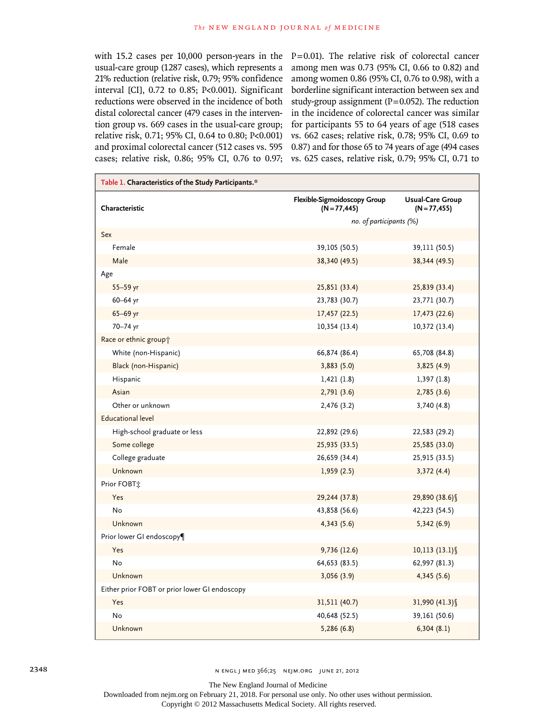with 15.2 cases per 10,000 person-years in the usual-care group (1287 cases), which represents a 21% reduction (relative risk, 0.79; 95% confidence interval [CI], 0.72 to 0.85; P<0.001). Significant reductions were observed in the incidence of both distal colorectal cancer (479 cases in the intervention group vs. 669 cases in the usual-care group; relative risk, 0.71; 95% CI, 0.64 to 0.80; P<0.001) and proximal colorectal cancer (512 cases vs. 595

cases; relative risk, 0.86; 95% CI, 0.76 to 0.97; vs. 625 cases, relative risk, 0.79; 95% CI, 0.71 to  $P=0.01$ ). The relative risk of colorectal cancer among men was 0.73 (95% CI, 0.66 to 0.82) and among women 0.86 (95% CI, 0.76 to 0.98), with a borderline significant interaction between sex and study-group assignment ( $P=0.052$ ). The reduction in the incidence of colorectal cancer was similar for participants 55 to 64 years of age (518 cases vs. 662 cases; relative risk, 0.78; 95% CI, 0.69 to 0.87) and for those 65 to 74 years of age (494 cases

| Table 1. Characteristics of the Study Participants.* |                                                 |                                            |  |  |  |  |  |
|------------------------------------------------------|-------------------------------------------------|--------------------------------------------|--|--|--|--|--|
| Characteristic                                       | Flexible-Sigmoidoscopy Group<br>$(N = 77, 445)$ | <b>Usual-Care Group</b><br>$(N = 77, 455)$ |  |  |  |  |  |
|                                                      | no. of participants (%)                         |                                            |  |  |  |  |  |
| Sex                                                  |                                                 |                                            |  |  |  |  |  |
| Female                                               | 39,105 (50.5)                                   | 39,111 (50.5)                              |  |  |  |  |  |
| Male                                                 | 38,340 (49.5)                                   | 38,344 (49.5)                              |  |  |  |  |  |
| Age                                                  |                                                 |                                            |  |  |  |  |  |
| 55-59 yr                                             | 25,851 (33.4)                                   | 25,839 (33.4)                              |  |  |  |  |  |
| $60 - 64$ yr                                         | 23,783 (30.7)                                   | 23,771 (30.7)                              |  |  |  |  |  |
| 65-69 yr                                             | 17,457 (22.5)                                   | 17,473 (22.6)                              |  |  |  |  |  |
| 70-74 yr                                             | 10,354 (13.4)                                   | 10,372 (13.4)                              |  |  |  |  |  |
| Race or ethnic group+                                |                                                 |                                            |  |  |  |  |  |
| White (non-Hispanic)                                 | 66,874 (86.4)                                   | 65,708 (84.8)                              |  |  |  |  |  |
| Black (non-Hispanic)                                 | 3,883(5.0)                                      | 3,825(4.9)                                 |  |  |  |  |  |
| Hispanic                                             | 1,421(1.8)                                      | 1,397(1.8)                                 |  |  |  |  |  |
| Asian                                                | 2,791(3.6)                                      | 2,785(3.6)                                 |  |  |  |  |  |
| Other or unknown                                     | 2,476 (3.2)                                     | 3,740(4.8)                                 |  |  |  |  |  |
| <b>Educational level</b>                             |                                                 |                                            |  |  |  |  |  |
| High-school graduate or less                         | 22,892 (29.6)                                   | 22,583 (29.2)                              |  |  |  |  |  |
| Some college                                         | 25,935 (33.5)                                   | 25,585 (33.0)                              |  |  |  |  |  |
| College graduate                                     | 26,659 (34.4)                                   | 25,915 (33.5)                              |  |  |  |  |  |
| Unknown                                              | 1,959(2.5)                                      | 3,372(4.4)                                 |  |  |  |  |  |
| Prior FOBT <sub>*</sub>                              |                                                 |                                            |  |  |  |  |  |
| Yes                                                  | 29,244 (37.8)                                   | 29,890 (38.6) §                            |  |  |  |  |  |
| No                                                   | 43,858 (56.6)                                   | 42,223 (54.5)                              |  |  |  |  |  |
| Unknown                                              | 4,343(5.6)                                      | 5,342(6.9)                                 |  |  |  |  |  |
| Prior lower GI endoscopy                             |                                                 |                                            |  |  |  |  |  |
| Yes                                                  | 9,736(12.6)                                     | 10,113(13.1)                               |  |  |  |  |  |
| No                                                   | 64,653 (83.5)                                   | 62,997 (81.3)                              |  |  |  |  |  |
| Unknown                                              | 3,056(3.9)                                      | 4,345(5.6)                                 |  |  |  |  |  |
| Either prior FOBT or prior lower GI endoscopy        |                                                 |                                            |  |  |  |  |  |
| Yes                                                  | 31,511 (40.7)                                   | 31,990 (41.3) §                            |  |  |  |  |  |
| No                                                   | 40,648 (52.5)                                   | 39,161 (50.6)                              |  |  |  |  |  |
| Unknown                                              | 5,286(6.8)                                      | 6,304(8.1)                                 |  |  |  |  |  |

2348 n engl j med 366;25 nejm.org june 21, 2012

The New England Journal of Medicine

Downloaded from nejm.org on February 21, 2018. For personal use only. No other uses without permission.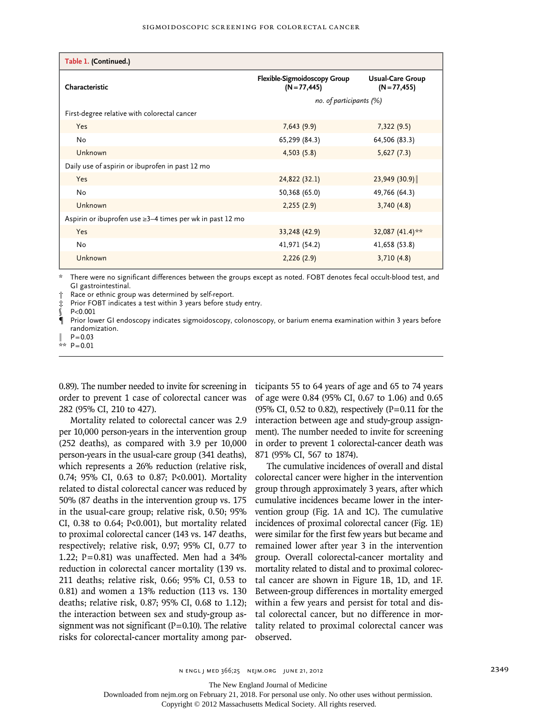| Table 1. (Continued.)                                          |                                                 |                                            |  |  |  |
|----------------------------------------------------------------|-------------------------------------------------|--------------------------------------------|--|--|--|
| Characteristic                                                 | Flexible-Sigmoidoscopy Group<br>$(N = 77, 445)$ | <b>Usual-Care Group</b><br>$(N = 77, 455)$ |  |  |  |
|                                                                | no. of participants (%)                         |                                            |  |  |  |
| First-degree relative with colorectal cancer                   |                                                 |                                            |  |  |  |
| Yes                                                            | 7,643(9.9)                                      | 7,322(9.5)                                 |  |  |  |
| No                                                             | 65,299 (84.3)                                   | 64,506 (83.3)                              |  |  |  |
| Unknown                                                        | 4,503(5.8)                                      | 5,627(7.3)                                 |  |  |  |
| Daily use of aspirin or ibuprofen in past 12 mo                |                                                 |                                            |  |  |  |
| Yes                                                            | 24,822 (32.1)                                   | 23,949(30.9)                               |  |  |  |
| No                                                             | 50,368 (65.0)                                   | 49,766 (64.3)                              |  |  |  |
| Unknown                                                        | 2,255(2.9)                                      | 3,740(4.8)                                 |  |  |  |
| Aspirin or ibuprofen use $\geq 3-4$ times per wk in past 12 mo |                                                 |                                            |  |  |  |
| Yes                                                            | 33,248 (42.9)                                   | 32,087 (41.4) **                           |  |  |  |
| No                                                             | 41,971 (54.2)                                   | 41,658 (53.8)                              |  |  |  |
| Unknown                                                        | 2,226(2.9)                                      | 3,710(4.8)                                 |  |  |  |

\* There were no significant differences between the groups except as noted. FOBT denotes fecal occult-blood test, and GI gastrointestinal.

Race or ethnic group was determined by self-report.

‡ Prior FOBT indicates a test within 3 years before study entry.

§ P<0.001

Prior lower GI endoscopy indicates sigmoidoscopy, colonoscopy, or barium enema examination within 3 years before randomization.

 $P = 0.03$ 

 $**$  P=0.01

0.89). The number needed to invite for screening in order to prevent 1 case of colorectal cancer was 282 (95% CI, 210 to 427).

Mortality related to colorectal cancer was 2.9 per 10,000 person-years in the intervention group (252 deaths), as compared with 3.9 per 10,000 person-years in the usual-care group (341 deaths), which represents a 26% reduction (relative risk, 0.74; 95% CI, 0.63 to 0.87; P<0.001). Mortality related to distal colorectal cancer was reduced by 50% (87 deaths in the intervention group vs. 175 in the usual-care group; relative risk, 0.50; 95% CI, 0.38 to 0.64; P<0.001), but mortality related to proximal colorectal cancer (143 vs. 147 deaths, respectively; relative risk, 0.97; 95% CI, 0.77 to 1.22;  $P=0.81$ ) was unaffected. Men had a 34% reduction in colorectal cancer mortality (139 vs. 211 deaths; relative risk, 0.66; 95% CI, 0.53 to 0.81) and women a 13% reduction (113 vs. 130 deaths; relative risk, 0.87; 95% CI, 0.68 to 1.12); the interaction between sex and study-group assignment was not significant  $(P=0.10)$ . The relative risks for colorectal-cancer mortality among par-

ticipants 55 to 64 years of age and 65 to 74 years of age were 0.84 (95% CI, 0.67 to 1.06) and 0.65 (95% CI, 0.52 to 0.82), respectively  $(P=0.11$  for the interaction between age and study-group assignment). The number needed to invite for screening in order to prevent 1 colorectal-cancer death was 871 (95% CI, 567 to 1874).

The cumulative incidences of overall and distal colorectal cancer were higher in the intervention group through approximately 3 years, after which cumulative incidences became lower in the intervention group (Fig. 1A and 1C). The cumulative incidences of proximal colorectal cancer (Fig. 1E) were similar for the first few years but became and remained lower after year 3 in the intervention group. Overall colorectal-cancer mortality and mortality related to distal and to proximal colorectal cancer are shown in Figure 1B, 1D, and 1F. Between-group differences in mortality emerged within a few years and persist for total and distal colorectal cancer, but no difference in mortality related to proximal colorectal cancer was observed.

The New England Journal of Medicine

Downloaded from nejm.org on February 21, 2018. For personal use only. No other uses without permission.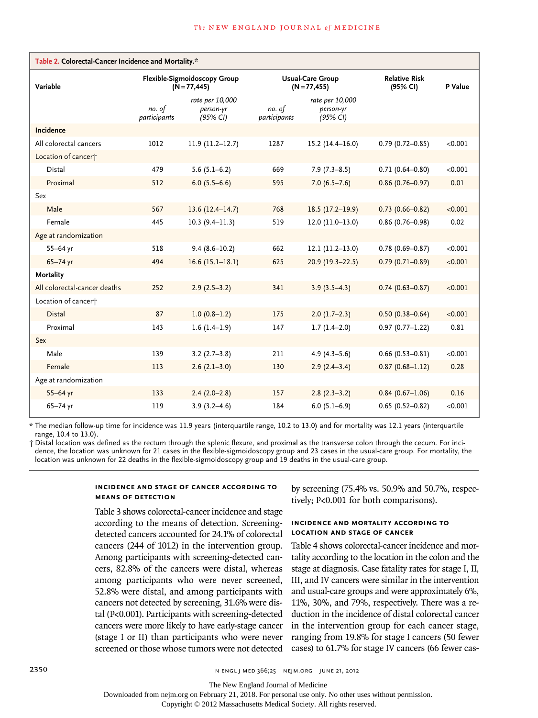| Table 2. Colorectal-Cancer Incidence and Mortality.* |                                                 |                                          |                        |                                            |                                  |         |  |
|------------------------------------------------------|-------------------------------------------------|------------------------------------------|------------------------|--------------------------------------------|----------------------------------|---------|--|
| Variable                                             | Flexible-Sigmoidoscopy Group<br>$(N = 77, 445)$ |                                          |                        | <b>Usual-Care Group</b><br>$(N = 77, 455)$ | <b>Relative Risk</b><br>(95% CI) | P Value |  |
|                                                      | no. of<br>participants                          | rate per 10,000<br>person-yr<br>(95% CI) | no. of<br>participants | rate per 10,000<br>person-yr<br>(95% CI)   |                                  |         |  |
| Incidence                                            |                                                 |                                          |                        |                                            |                                  |         |  |
| All colorectal cancers                               | 1012                                            | $11.9(11.2-12.7)$                        | 1287                   | $15.2(14.4 - 16.0)$                        | $0.79(0.72 - 0.85)$              | < 0.001 |  |
| Location of cancert                                  |                                                 |                                          |                        |                                            |                                  |         |  |
| Distal                                               | 479                                             | $5.6(5.1-6.2)$                           | 669                    | $7.9(7.3 - 8.5)$                           | $0.71(0.64 - 0.80)$              | < 0.001 |  |
| Proximal                                             | 512                                             | $6.0(5.5-6.6)$                           | 595                    | $7.0(6.5 - 7.6)$                           | $0.86(0.76 - 0.97)$              | 0.01    |  |
| Sex                                                  |                                                 |                                          |                        |                                            |                                  |         |  |
| Male                                                 | 567                                             | $13.6(12.4 - 14.7)$                      | 768                    | $18.5(17.2-19.9)$                          | $0.73(0.66 - 0.82)$              | < 0.001 |  |
| Female                                               | 445                                             | 10.3 $(9.4 - 11.3)$                      | 519                    | $12.0(11.0-13.0)$                          | $0.86(0.76 - 0.98)$              | 0.02    |  |
| Age at randomization                                 |                                                 |                                          |                        |                                            |                                  |         |  |
| $55 - 64$ yr                                         | 518                                             | $9.4(8.6 - 10.2)$                        | 662                    | $12.1(11.2-13.0)$                          | $0.78(0.69 - 0.87)$              | < 0.001 |  |
| $65 - 74$ yr                                         | 494                                             | $16.6(15.1-18.1)$                        | 625                    | $20.9(19.3-22.5)$                          | $0.79(0.71 - 0.89)$              | < 0.001 |  |
| <b>Mortality</b>                                     |                                                 |                                          |                        |                                            |                                  |         |  |
| All colorectal-cancer deaths                         | 252                                             | $2.9(2.5-3.2)$                           | 341                    | $3.9(3.5-4.3)$                             | $0.74(0.63 - 0.87)$              | < 0.001 |  |
| Location of cancert                                  |                                                 |                                          |                        |                                            |                                  |         |  |
| <b>Distal</b>                                        | 87                                              | $1.0(0.8-1.2)$                           | 175                    | $2.0(1.7-2.3)$                             | $0.50(0.38 - 0.64)$              | < 0.001 |  |
| Proximal                                             | 143                                             | $1.6(1.4-1.9)$                           | 147                    | $1.7(1.4-2.0)$                             | $0.97(0.77 - 1.22)$              | 0.81    |  |
| Sex                                                  |                                                 |                                          |                        |                                            |                                  |         |  |
| Male                                                 | 139                                             | $3.2(2.7-3.8)$                           | 211                    | $4.9(4.3 - 5.6)$                           | $0.66(0.53 - 0.81)$              | < 0.001 |  |
| Female                                               | 113                                             | $2.6(2.1-3.0)$                           | 130                    | $2.9(2.4-3.4)$                             | $0.87(0.68 - 1.12)$              | 0.28    |  |
| Age at randomization                                 |                                                 |                                          |                        |                                            |                                  |         |  |
| $55 - 64$ yr                                         | 133                                             | $2.4(2.0-2.8)$                           | 157                    | $2.8(2.3-3.2)$                             | $0.84(0.67-1.06)$                | 0.16    |  |
| $65 - 74$ yr                                         | 119                                             | $3.9(3.2 - 4.6)$                         | 184                    | $6.0(5.1-6.9)$                             | $0.65(0.52 - 0.82)$              | < 0.001 |  |

\* The median follow-up time for incidence was 11.9 years (interquartile range, 10.2 to 13.0) and for mortality was 12.1 years (interquartile range, 10.4 to 13.0).

† Distal location was defined as the rectum through the splenic flexure, and proximal as the transverse colon through the cecum. For incidence, the location was unknown for 21 cases in the flexible-sigmoidoscopy group and 23 cases in the usual-care group. For mortality, the location was unknown for 22 deaths in the flexible-sigmoidoscopy group and 19 deaths in the usual-care group.

### **Incidence and Stage of Cancer According to Means of Detection**

Table 3 shows colorectal-cancer incidence and stage according to the means of detection. Screeningdetected cancers accounted for 24.1% of colorectal cancers (244 of 1012) in the intervention group. Among participants with screening-detected cancers, 82.8% of the cancers were distal, whereas among participants who were never screened, 52.8% were distal, and among participants with cancers not detected by screening, 31.6% were distal (P<0.001). Participants with screening-detected cancers were more likely to have early-stage cancer (stage I or II) than participants who were never screened or those whose tumors were not detected

by screening (75.4% vs. 50.9% and 50.7%, respectively; P<0.001 for both comparisons).

# **Incidence and Mortality According to Location and Stage of Cancer**

Table 4 shows colorectal-cancer incidence and mortality according to the location in the colon and the stage at diagnosis. Case fatality rates for stage I, II, III, and IV cancers were similar in the intervention and usual-care groups and were approximately 6%, 11%, 30%, and 79%, respectively. There was a reduction in the incidence of distal colorectal cancer in the intervention group for each cancer stage, ranging from 19.8% for stage I cancers (50 fewer cases) to 61.7% for stage IV cancers (66 fewer cas-

The New England Journal of Medicine

Downloaded from nejm.org on February 21, 2018. For personal use only. No other uses without permission.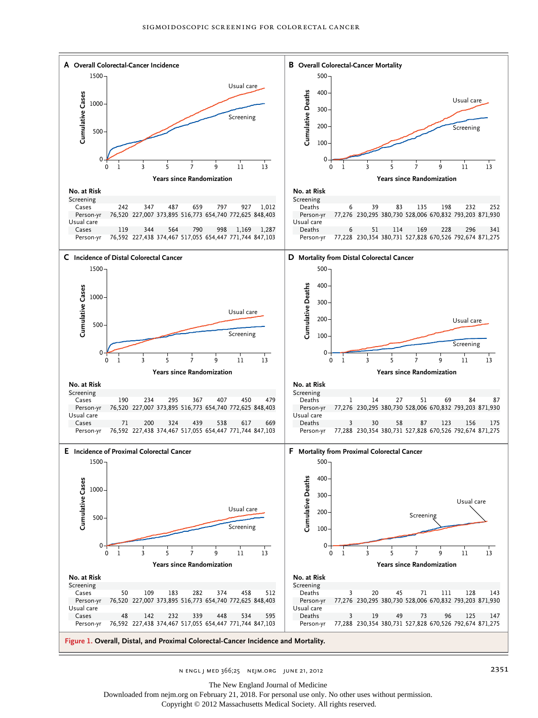

The New England Journal of Medicine

Downloaded from nejm.org on February 21, 2018. For personal use only. No other uses without permission.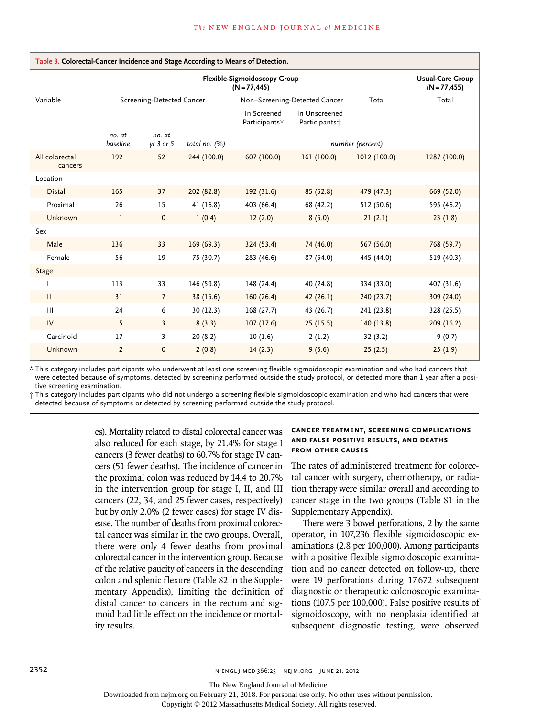| Table 3. Colorectal-Cancer Incidence and Stage According to Means of Detection.               |                           |                       |                 |                              |                                            |              |              |  |
|-----------------------------------------------------------------------------------------------|---------------------------|-----------------------|-----------------|------------------------------|--------------------------------------------|--------------|--------------|--|
| Flexible-Sigmoidoscopy Group<br><b>Usual-Care Group</b><br>$(N = 77, 445)$<br>$(N = 77, 455)$ |                           |                       |                 |                              |                                            |              |              |  |
| Variable                                                                                      | Screening-Detected Cancer |                       |                 |                              | Non-Screening-Detected Cancer              | Total        | Total        |  |
|                                                                                               |                           |                       |                 | In Screened<br>Participants* | In Unscreened<br>Participants <sup>+</sup> |              |              |  |
|                                                                                               | no. at<br>baseline        | no. at<br>$yr$ 3 or 5 | total no. $(%)$ | number (percent)             |                                            |              |              |  |
| All colorectal<br>cancers                                                                     | 192                       | 52                    | 244 (100.0)     | 607 (100.0)                  | 161(100.0)                                 | 1012 (100.0) | 1287 (100.0) |  |
| Location                                                                                      |                           |                       |                 |                              |                                            |              |              |  |
| <b>Distal</b>                                                                                 | 165                       | 37                    | 202 (82.8)      | 192 (31.6)                   | 85 (52.8)                                  | 479 (47.3)   | 669 (52.0)   |  |
| Proximal                                                                                      | 26                        | 15                    | 41(16.8)        | 403 (66.4)                   | 68 (42.2)                                  | 512 (50.6)   | 595 (46.2)   |  |
| Unknown                                                                                       | $\mathbf{1}$              | $\mathbf{0}$          | 1(0.4)          | 12(2.0)                      | 8(5.0)                                     | 21(2.1)      | 23(1.8)      |  |
| Sex                                                                                           |                           |                       |                 |                              |                                            |              |              |  |
| Male                                                                                          | 136                       | 33                    | 169(69.3)       | 324 (53.4)                   | 74 (46.0)                                  | 567 (56.0)   | 768 (59.7)   |  |
| Female                                                                                        | 56                        | 19                    | 75 (30.7)       | 283 (46.6)                   | 87 (54.0)                                  | 445 (44.0)   | 519 (40.3)   |  |
| <b>Stage</b>                                                                                  |                           |                       |                 |                              |                                            |              |              |  |
|                                                                                               | 113                       | 33                    | 146 (59.8)      | 148 (24.4)                   | 40 (24.8)                                  | 334 (33.0)   | 407 (31.6)   |  |
| $\mathbf{H}$                                                                                  | 31                        | $\overline{7}$        | 38 (15.6)       | 160(26.4)                    | 42 (26.1)                                  | 240 (23.7)   | 309 (24.0)   |  |
| III                                                                                           | 24                        | 6                     | 30(12.3)        | 168(27.7)                    | 43 (26.7)                                  | 241 (23.8)   | 328 (25.5)   |  |
| IV                                                                                            | 5                         | 3                     | 8(3.3)          | 107(17.6)                    | 25(15.5)                                   | 140(13.8)    | 209 (16.2)   |  |
| Carcinoid                                                                                     | 17                        | 3                     | 20(8.2)         | 10(1.6)                      | 2(1.2)                                     | 32(3.2)      | 9(0.7)       |  |
| Unknown                                                                                       | $\overline{2}$            | $\mathbf{0}$          | 2(0.8)          | 14(2.3)                      | 9(5.6)                                     | 25(2.5)      | 25(1.9)      |  |

\* This category includes participants who underwent at least one screening flexible sigmoidoscopic examination and who had cancers that were detected because of symptoms, detected by screening performed outside the study protocol, or detected more than 1 year after a positive screening examination.

† This category includes participants who did not undergo a screening flexible sigmoidoscopic examination and who had cancers that were detected because of symptoms or detected by screening performed outside the study protocol.

> es). Mortality related to distal colorectal cancer was also reduced for each stage, by 21.4% for stage I cancers (3 fewer deaths) to 60.7% for stage IV cancers (51 fewer deaths). The incidence of cancer in the proximal colon was reduced by 14.4 to 20.7% in the intervention group for stage I, II, and III cancers (22, 34, and 25 fewer cases, respectively) but by only 2.0% (2 fewer cases) for stage IV disease. The number of deaths from proximal colorectal cancer was similar in the two groups. Overall, there were only 4 fewer deaths from proximal colorectal cancer in the intervention group. Because of the relative paucity of cancers in the descending colon and splenic flexure (Table S2 in the Supplementary Appendix), limiting the definition of distal cancer to cancers in the rectum and sigmoid had little effect on the incidence or mortality results.

#### **Cancer Treatment, Screening Complications and False Positive Results, and Deaths from Other Causes**

The rates of administered treatment for colorectal cancer with surgery, chemotherapy, or radiation therapy were similar overall and according to cancer stage in the two groups (Table S1 in the Supplementary Appendix).

There were 3 bowel perforations, 2 by the same operator, in 107,236 flexible sigmoidoscopic examinations (2.8 per 100,000). Among participants with a positive flexible sigmoidoscopic examination and no cancer detected on follow-up, there were 19 perforations during 17,672 subsequent diagnostic or therapeutic colonoscopic examinations (107.5 per 100,000). False positive results of sigmoidoscopy, with no neoplasia identified at subsequent diagnostic testing, were observed

The New England Journal of Medicine

Downloaded from nejm.org on February 21, 2018. For personal use only. No other uses without permission.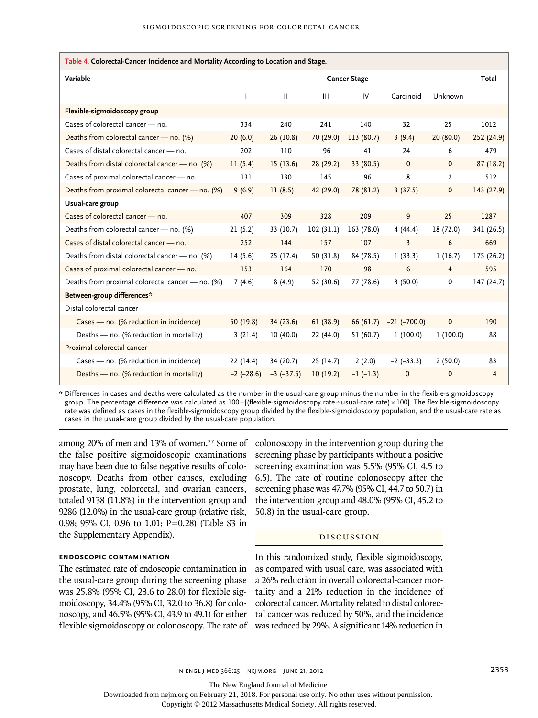| Table 4. Colorectal-Cancer Incidence and Mortality According to Location and Stage. |                     |                  |           |               |                  |                |                |  |
|-------------------------------------------------------------------------------------|---------------------|------------------|-----------|---------------|------------------|----------------|----------------|--|
| Variable                                                                            | <b>Cancer Stage</b> |                  |           |               |                  |                |                |  |
|                                                                                     | $\mathbf{I}$        | $\mathbf{H}$     | III       | IV            | Carcinoid        | Unknown        |                |  |
| Flexible-sigmoidoscopy group                                                        |                     |                  |           |               |                  |                |                |  |
| Cases of colorectal cancer - no.                                                    | 334                 | 240              | 241       | 140           | 32               | 25             | 1012           |  |
| Deaths from colorectal cancer - no. (%)                                             | 20(6.0)             | 26(10.8)         | 70 (29.0) | 113(80.7)     | 3(9.4)           | 20(80.0)       | 252 (24.9)     |  |
| Cases of distal colorectal cancer - no.                                             | 202                 | 110              | 96        | 41            | 24               | 6              | 479            |  |
| Deaths from distal colorectal cancer - no. (%)                                      | 11(5.4)             | 15(13.6)         | 28(29.2)  | 33 (80.5)     | $\Omega$         | $\mathbf 0$    | 87(18.2)       |  |
| Cases of proximal colorectal cancer - no.                                           | 131                 | 130              | 145       | 96            | 8                | $\overline{2}$ | 512            |  |
| Deaths from proximal colorectal cancer - no. (%)                                    | 9(6.9)              | 11(8.5)          | 42 (29.0) | 78 (81.2)     | 3(37.5)          | $\mathbf{0}$   | 143(27.9)      |  |
| Usual-care group                                                                    |                     |                  |           |               |                  |                |                |  |
| Cases of colorectal cancer - no.                                                    | 407                 | 309              | 328       | 209           | 9                | 25             | 1287           |  |
| Deaths from colorectal cancer - no. (%)                                             | 21(5.2)             | 33 (10.7)        | 102(31.1) | 163 (78.0)    | 4(44.4)          | 18 (72.0)      | 341 (26.5)     |  |
| Cases of distal colorectal cancer - no.                                             | 252                 | 144              | 157       | 107           | $\overline{3}$   | 6              | 669            |  |
| Deaths from distal colorectal cancer - no. (%)                                      | 14(5.6)             | 25(17.4)         | 50 (31.8) | 84 (78.5)     | 1(33.3)          | 1(16.7)        | 175 (26.2)     |  |
| Cases of proximal colorectal cancer - no.                                           | 153                 | 164              | 170       | 98            | 6                | $\overline{4}$ | 595            |  |
| Deaths from proximal colorectal cancer - no. (%)                                    | 7(4.6)              | 8(4.9)           | 52 (30.6) | 77 (78.6)     | 3(50.0)          | 0              | 147(24.7)      |  |
| Between-group differences*                                                          |                     |                  |           |               |                  |                |                |  |
| Distal colorectal cancer                                                            |                     |                  |           |               |                  |                |                |  |
| Cases - no. (% reduction in incidence)                                              | 50(19.8)            | 34(23.6)         | 61(38.9)  | 66(61.7)      | $-21 (-700.0)$   | $\Omega$       | 190            |  |
| Deaths - no. (% reduction in mortality)                                             | 3(21.4)             | 10(40.0)         | 22 (44.0) | 51(60.7)      | 1(100.0)         | 1(100.0)       | 88             |  |
| Proximal colorectal cancer                                                          |                     |                  |           |               |                  |                |                |  |
| Cases - no. (% reduction in incidence)                                              | 22(14.4)            | 34 (20.7)        | 25(14.7)  | 2(2.0)        | $-2$ ( $-33.3$ ) | 2(50.0)        | 83             |  |
| Deaths - no. (% reduction in mortality)                                             | $-2$ ( $-28.6$ )    | $-3$ ( $-37.5$ ) | 10(19.2)  | $-1$ $(-1.3)$ | $\mathbf 0$      | $\mathbf 0$    | $\overline{4}$ |  |

\* Differences in cases and deaths were calculated as the number in the usual-care group minus the number in the flexible-sigmoidoscopy group. The percentage difference was calculated as 100-[(flexible-sigmoidoscopy rate÷usual-care rate)×100]. The flexible-sigmoidoscopy rate was defined as cases in the flexible-sigmoidoscopy group divided by the flexible-sigmoidoscopy population, and the usual-care rate as cases in the usual-care group divided by the usual-care population.

among 20% of men and 13% of women.27 Some of the false positive sigmoidoscopic examinations may have been due to false negative results of colonoscopy. Deaths from other causes, excluding prostate, lung, colorectal, and ovarian cancers, totaled 9138 (11.8%) in the intervention group and 9286 (12.0%) in the usual-care group (relative risk, 0.98; 95% CI, 0.96 to 1.01; P=0.28) (Table S3 in the Supplementary Appendix).

colonoscopy in the intervention group during the screening phase by participants without a positive screening examination was 5.5% (95% CI, 4.5 to 6.5). The rate of routine colonoscopy after the screening phase was 47.7% (95% CI, 44.7 to 50.7) in the intervention group and 48.0% (95% CI, 45.2 to 50.8) in the usual-care group.

#### Discussion

# **Endoscopic Contamination**

The estimated rate of endoscopic contamination in the usual-care group during the screening phase was 25.8% (95% CI, 23.6 to 28.0) for flexible sigmoidoscopy, 34.4% (95% CI, 32.0 to 36.8) for colonoscopy, and 46.5% (95% CI, 43.9 to 49.1) for either flexible sigmoidoscopy or colonoscopy. The rate of was reduced by 29%. A significant 14% reduction in

In this randomized study, flexible sigmoidoscopy, as compared with usual care, was associated with a 26% reduction in overall colorectal-cancer mortality and a 21% reduction in the incidence of colorectal cancer. Mortality related to distal colorectal cancer was reduced by 50%, and the incidence

n engl j med 366;25 nejm.org june 21, 2012 2353

The New England Journal of Medicine

Downloaded from nejm.org on February 21, 2018. For personal use only. No other uses without permission.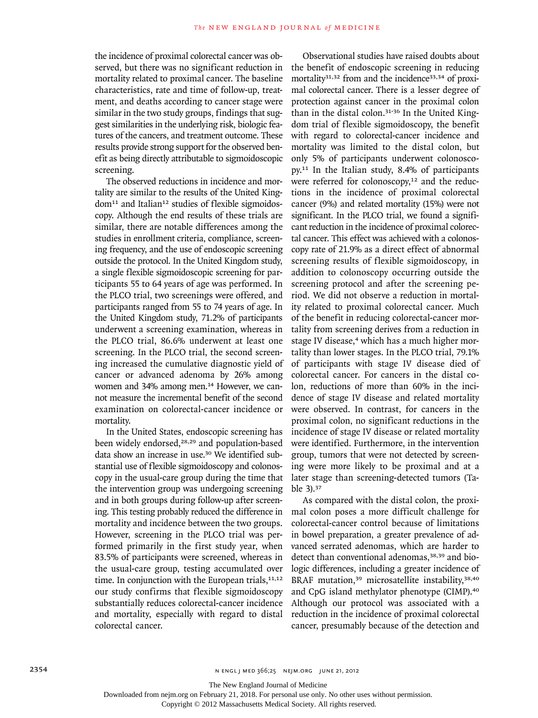the incidence of proximal colorectal cancer was observed, but there was no significant reduction in mortality related to proximal cancer. The baseline characteristics, rate and time of follow-up, treatment, and deaths according to cancer stage were similar in the two study groups, findings that suggest similarities in the underlying risk, biologic features of the cancers, and treatment outcome. These results provide strong support for the observed benefit as being directly attributable to sigmoidoscopic screening.

The observed reductions in incidence and mortality are similar to the results of the United Kingdom<sup>11</sup> and Italian<sup>12</sup> studies of flexible sigmoidoscopy. Although the end results of these trials are similar, there are notable differences among the studies in enrollment criteria, compliance, screening frequency, and the use of endoscopic screening outside the protocol. In the United Kingdom study, a single flexible sigmoidoscopic screening for participants 55 to 64 years of age was performed. In the PLCO trial, two screenings were offered, and participants ranged from 55 to 74 years of age. In the United Kingdom study, 71.2% of participants underwent a screening examination, whereas in the PLCO trial, 86.6% underwent at least one screening. In the PLCO trial, the second screening increased the cumulative diagnostic yield of cancer or advanced adenoma by 26% among women and 34% among men.<sup>14</sup> However, we cannot measure the incremental benefit of the second examination on colorectal-cancer incidence or mortality.

In the United States, endoscopic screening has been widely endorsed,<sup>28,29</sup> and population-based data show an increase in use.<sup>30</sup> We identified substantial use of flexible sigmoidoscopy and colonoscopy in the usual-care group during the time that the intervention group was undergoing screening and in both groups during follow-up after screening. This testing probably reduced the difference in mortality and incidence between the two groups. However, screening in the PLCO trial was performed primarily in the first study year, when 83.5% of participants were screened, whereas in the usual-care group, testing accumulated over time. In conjunction with the European trials, $11,12$ our study confirms that flexible sigmoidoscopy substantially reduces colorectal-cancer incidence and mortality, especially with regard to distal colorectal cancer.

Observational studies have raised doubts about the benefit of endoscopic screening in reducing mortality $31,32$  from and the incidence  $33,34$  of proximal colorectal cancer. There is a lesser degree of protection against cancer in the proximal colon than in the distal colon.<sup>31-36</sup> In the United Kingdom trial of flexible sigmoidoscopy, the benefit with regard to colorectal-cancer incidence and mortality was limited to the distal colon, but only 5% of participants underwent colonoscopy.11 In the Italian study, 8.4% of participants were referred for colonoscopy,<sup>12</sup> and the reductions in the incidence of proximal colorectal cancer (9%) and related mortality (15%) were not significant. In the PLCO trial, we found a significant reduction in the incidence of proximal colorectal cancer. This effect was achieved with a colonoscopy rate of 21.9% as a direct effect of abnormal screening results of flexible sigmoidoscopy, in addition to colonoscopy occurring outside the screening protocol and after the screening period. We did not observe a reduction in mortality related to proximal colorectal cancer. Much of the benefit in reducing colorectal-cancer mortality from screening derives from a reduction in stage IV disease,<sup>4</sup> which has a much higher mortality than lower stages. In the PLCO trial, 79.1% of participants with stage IV disease died of colorectal cancer. For cancers in the distal colon, reductions of more than 60% in the incidence of stage IV disease and related mortality were observed. In contrast, for cancers in the proximal colon, no significant reductions in the incidence of stage IV disease or related mortality were identified. Furthermore, in the intervention group, tumors that were not detected by screening were more likely to be proximal and at a later stage than screening-detected tumors (Table 3).<sup>37</sup>

As compared with the distal colon, the proximal colon poses a more difficult challenge for colorectal-cancer control because of limitations in bowel preparation, a greater prevalence of advanced serrated adenomas, which are harder to detect than conventional adenomas,<sup>38,39</sup> and biologic differences, including a greater incidence of BRAF mutation,<sup>39</sup> microsatellite instability,<sup>38,40</sup> and CpG island methylator phenotype (CIMP).<sup>40</sup> Although our protocol was associated with a reduction in the incidence of proximal colorectal cancer, presumably because of the detection and

The New England Journal of Medicine

Downloaded from nejm.org on February 21, 2018. For personal use only. No other uses without permission.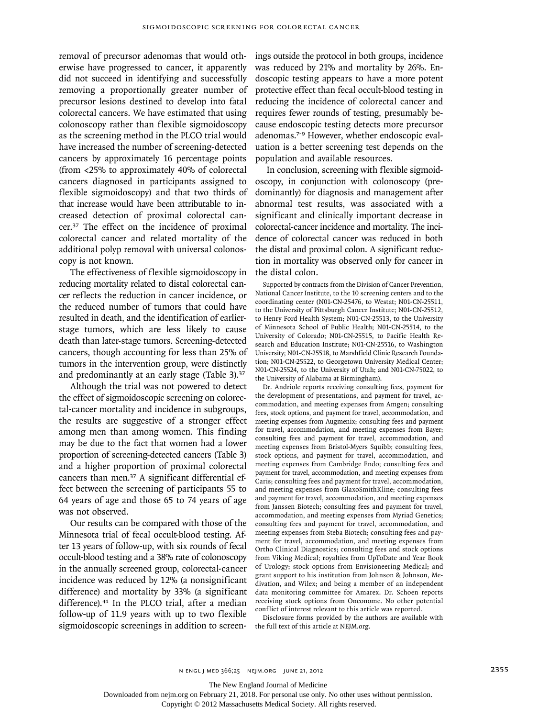removal of precursor adenomas that would otherwise have progressed to cancer, it apparently did not succeed in identifying and successfully removing a proportionally greater number of precursor lesions destined to develop into fatal colorectal cancers. We have estimated that using colonoscopy rather than flexible sigmoidoscopy as the screening method in the PLCO trial would have increased the number of screening-detected cancers by approximately 16 percentage points (from <25% to approximately 40% of colorectal cancers diagnosed in participants assigned to flexible sigmoidoscopy) and that two thirds of that increase would have been attributable to increased detection of proximal colorectal cancer.37 The effect on the incidence of proximal colorectal cancer and related mortality of the additional polyp removal with universal colonoscopy is not known.

The effectiveness of flexible sigmoidoscopy in reducing mortality related to distal colorectal cancer reflects the reduction in cancer incidence, or the reduced number of tumors that could have resulted in death, and the identification of earlierstage tumors, which are less likely to cause death than later-stage tumors. Screening-detected cancers, though accounting for less than 25% of tumors in the intervention group, were distinctly and predominantly at an early stage (Table 3).<sup>37</sup>

Although the trial was not powered to detect the effect of sigmoidoscopic screening on colorectal-cancer mortality and incidence in subgroups, the results are suggestive of a stronger effect among men than among women. This finding may be due to the fact that women had a lower proportion of screening-detected cancers (Table 3) and a higher proportion of proximal colorectal cancers than men.37 A significant differential effect between the screening of participants 55 to 64 years of age and those 65 to 74 years of age was not observed.

Our results can be compared with those of the Minnesota trial of fecal occult-blood testing. After 13 years of follow-up, with six rounds of fecal occult-blood testing and a 38% rate of colonoscopy in the annually screened group, colorectal-cancer incidence was reduced by 12% (a nonsignificant difference) and mortality by 33% (a significant difference).<sup>41</sup> In the PLCO trial, after a median follow-up of 11.9 years with up to two flexible sigmoidoscopic screenings in addition to screenings outside the protocol in both groups, incidence was reduced by 21% and mortality by 26%. Endoscopic testing appears to have a more potent protective effect than fecal occult-blood testing in reducing the incidence of colorectal cancer and requires fewer rounds of testing, presumably because endoscopic testing detects more precursor adenomas.7-9 However, whether endoscopic evaluation is a better screening test depends on the population and available resources.

In conclusion, screening with flexible sigmoidoscopy, in conjunction with colonoscopy (predominantly) for diagnosis and management after abnormal test results, was associated with a significant and clinically important decrease in colorectal-cancer incidence and mortality. The incidence of colorectal cancer was reduced in both the distal and proximal colon. A significant reduction in mortality was observed only for cancer in the distal colon.

Supported by contracts from the Division of Cancer Prevention, National Cancer Institute, to the 10 screening centers and to the coordinating center (N01-CN-25476, to Westat; N01-CN-25511, to the University of Pittsburgh Cancer Institute; N01-CN-25512, to Henry Ford Health System; N01-CN-25513, to the University of Minnesota School of Public Health; N01-CN-25514, to the University of Colorado; N01-CN-25515, to Pacific Health Research and Education Institute; N01-CN-25516, to Washington University; N01-CN-25518, to Marshfield Clinic Research Foundation; N01-CN-25522, to Georgetown University Medical Center; N01-CN-25524, to the University of Utah; and N01-CN-75022, to the University of Alabama at Birmingham).

Dr. Andriole reports receiving consulting fees, payment for the development of presentations, and payment for travel, accommodation, and meeting expenses from Amgen; consulting fees, stock options, and payment for travel, accommodation, and meeting expenses from Augmenix; consulting fees and payment for travel, accommodation, and meeting expenses from Bayer; consulting fees and payment for travel, accommodation, and meeting expenses from Bristol-Myers Squibb; consulting fees, stock options, and payment for travel, accommodation, and meeting expenses from Cambridge Endo; consulting fees and payment for travel, accommodation, and meeting expenses from Caris; consulting fees and payment for travel, accommodation, and meeting expenses from GlaxoSmithKline; consulting fees and payment for travel, accommodation, and meeting expenses from Janssen Biotech; consulting fees and payment for travel, accommodation, and meeting expenses from Myriad Genetics; consulting fees and payment for travel, accommodation, and meeting expenses from Steba Biotech; consulting fees and payment for travel, accommodation, and meeting expenses from Ortho Clinical Diagnostics; consulting fees and stock options from Viking Medical; royalties from UpToDate and Year Book of Urology; stock options from Envisioneering Medical; and grant support to his institution from Johnson & Johnson, Medivation, and Wilex; and being a member of an independent data monitoring committee for Amarex. Dr. Schoen reports receiving stock options from Onconome. No other potential conflict of interest relevant to this article was reported.

Disclosure forms provided by the authors are available with the full text of this article at NEJM.org.

The New England Journal of Medicine

Downloaded from nejm.org on February 21, 2018. For personal use only. No other uses without permission.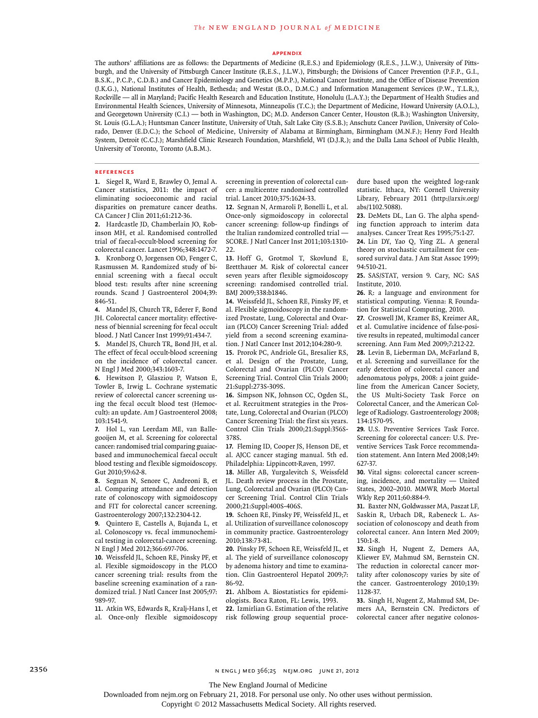#### **appendix**

The authors' affiliations are as follows: the Departments of Medicine (R.E.S.) and Epidemiology (R.E.S., J.L.W.), University of Pittsburgh, and the University of Pittsburgh Cancer Institute (R.E.S., J.L.W.), Pittsburgh; the Divisions of Cancer Prevention (P.F.P., G.I., B.S.K., P.C.P., C.D.B.) and Cancer Epidemiology and Genetics (M.P.P.), National Cancer Institute, and the Office of Disease Prevention (J.K.G.), National Institutes of Health, Bethesda; and Westat (B.O., D.M.C.) and Information Management Services (P.W., T.L.R.), Rockville — all in Maryland; Pacific Health Research and Education Institute, Honolulu (L.A.Y.); the Department of Health Studies and Environmental Health Sciences, University of Minnesota, Minneapolis (T.C.); the Department of Medicine, Howard University (A.O.L.), and Georgetown University (C.I.) — both in Washington, DC; M.D. Anderson Cancer Center, Houston (R.B.); Washington University, St. Louis (G.L.A.); Huntsman Cancer Institute, University of Utah, Salt Lake City (S.S.B.); Anschutz Cancer Pavilion, University of Colorado, Denver (E.D.C.); the School of Medicine, University of Alabama at Birmingham, Birmingham (M.N.F.); Henry Ford Health System, Detroit (C.C.J.); Marshfield Clinic Research Foundation, Marshfield, WI (D.J.R.); and the Dalla Lana School of Public Health, University of Toronto, Toronto (A.B.M.).

#### **References**

**1.** Siegel R, Ward E, Brawley O, Jemal A. Cancer statistics, 2011: the impact of eliminating socioeconomic and racial disparities on premature cancer deaths. CA Cancer J Clin 2011;61:212-36.

**2.** Hardcastle JD, Chamberlain JO, Robinson MH, et al. Randomised controlled trial of faecal-occult-blood screening for colorectal cancer. Lancet 1996;348:1472-7. **3.** Kronborg O, Jorgensen OD, Fenger C, Rasmussen M. Randomized study of biennial screening with a faecal occult blood test: results after nine screening rounds. Scand J Gastroenterol 2004;39: 846-51.

**4.** Mandel JS, Church TR, Ederer F, Bond JH. Colorectal cancer mortality: effectiveness of biennial screening for fecal occult blood. J Natl Cancer Inst 1999;91:434-7.

**5.** Mandel JS, Church TR, Bond JH, et al. The effect of fecal occult-blood screening on the incidence of colorectal cancer. N Engl J Med 2000;343:1603-7.

**6.** Hewitson P, Glasziou P, Watson E, Towler B, Irwig L. Cochrane systematic review of colorectal cancer screening using the fecal occult blood test (Hemoccult): an update. Am J Gastroenterol 2008; 103:1541-9.

**7.** Hol L, van Leerdam ME, van Ballegooijen M, et al. Screening for colorectal cancer: randomised trial comparing guaiacbased and immunochemical faecal occult blood testing and flexible sigmoidoscopy. Gut 2010;59:62-8.

**8.** Segnan N, Senore C, Andreoni B, et al. Comparing attendance and detection rate of colonoscopy with sigmoidoscopy and FIT for colorectal cancer screening. Gastroenterology 2007;132:2304-12.

**9.** Quintero E, Castells A, Bujanda L, et al. Colonoscopy vs. fecal immunochemical testing in colorectal-cancer screening. N Engl J Med 2012;366:697-706.

**10.** Weissfeld JL, Schoen RE, Pinsky PF, et al. Flexible sigmoidoscopy in the PLCO cancer screening trial: results from the baseline screening examination of a randomized trial. J Natl Cancer Inst 2005;97: 989-97.

**11.** Atkin WS, Edwards R, Kralj-Hans I, et al. Once-only flexible sigmoidoscopy

screening in prevention of colorectal cancer: a multicentre randomised controlled trial. Lancet 2010;375:1624-33.

**12.** Segnan N, Armaroli P, Bonelli L, et al. Once-only sigmoidoscopy in colorectal cancer screening: follow-up findings of the Italian randomized controlled trial — SCORE. J Natl Cancer Inst 2011;103:1310- 22.

**13.** Hoff G, Grotmol T, Skovlund E, Bretthauer M. Risk of colorectal cancer seven years after flexible sigmoidoscopy screening: randomised controlled trial. BMJ 2009;338:b1846.

**14.** Weissfeld JL, Schoen RE, Pinsky PF, et al. Flexible sigmoidoscopy in the randomized Prostate, Lung, Colorectal and Ovarian (PLCO) Cancer Screening Trial: added yield from a second screening examination. J Natl Cancer Inst 2012;104:280-9.

**15.** Prorok PC, Andriole GL, Bresalier RS, et al. Design of the Prostate, Lung, Colorectal and Ovarian (PLCO) Cancer Screening Trial. Control Clin Trials 2000; 21:Suppl:273S-309S.

**16.** Simpson NK, Johnson CC, Ogden SL, et al. Recruitment strategies in the Prostate, Lung, Colorectal and Ovarian (PLCO) Cancer Screening Trial: the first six years. Control Clin Trials 2000;21:Suppl:356S-378S.

**17.** Fleming ID, Cooper JS, Henson DE, et al. AJCC cancer staging manual. 5th ed. Philadelphia: Lippincott-Raven, 1997.

**18.** Miller AB, Yurgalevitch S, Weissfeld JL. Death review process in the Prostate, Lung, Colorectal and Ovarian (PLCO) Cancer Screening Trial. Control Clin Trials 2000;21:Suppl:400S-406S.

**19.** Schoen RE, Pinsky PF, Weissfeld JL, et al. Utilization of surveillance colonoscopy in community practice. Gastroenterology 2010;138:73-81.

**20.** Pinsky PF, Schoen RE, Weissfeld JL, et al. The yield of surveillance colonoscopy by adenoma history and time to examination. Clin Gastroenterol Hepatol 2009;7: 86-92.

**21.** Ahlbom A. Biostatistics for epidemiologists. Boca Raton, FL: Lewis, 1993.

**22.** Izmirlian G. Estimation of the relative risk following group sequential proce-

dure based upon the weighted log-rank statistic. Ithaca, NY: Cornell University Library, February 2011 (http://arxiv.org/ abs/1102.5088).

**23.** DeMets DL, Lan G. The alpha spending function approach to interim data analyses. Cancer Treat Res 1995;75:1-27.

**24.** Lin DY, Yao Q, Ying ZL. A general theory on stochastic curtailment for censored survival data. J Am Stat Assoc 1999; 94:510-21.

**25.** SAS/STAT, version 9. Cary, NC: SAS Institute, 2010.

**26.** R: a language and environment for statistical computing. Vienna: R Foundation for Statistical Computing, 2010.

**27.** Croswell JM, Kramer BS, Kreimer AR, et al. Cumulative incidence of false-positive results in repeated, multimodal cancer screening. Ann Fam Med 2009;7:212-22.

**28.** Levin B, Lieberman DA, McFarland B, et al. Screening and surveillance for the early detection of colorectal cancer and adenomatous polyps, 2008: a joint guideline from the American Cancer Society, the US Multi-Society Task Force on Colorectal Cancer, and the American College of Radiology. Gastroenterology 2008; 134:1570-95.

**29.** U.S. Preventive Services Task Force. Screening for colorectal cancer: U.S. Preventive Services Task Force recommendation statement. Ann Intern Med 2008;149: 627-37.

**30.** Vital signs: colorectal cancer screening, incidence, and mortality — United States, 2002–2010. MMWR Morb Mortal Wkly Rep 2011;60:884-9.

**31.** Baxter NN, Goldwasser MA, Paszat LF, Saskin R, Urbach DR, Rabeneck L. Association of colonoscopy and death from colorectal cancer. Ann Intern Med 2009; 150:1-8.

**32.** Singh H, Nugent Z, Demers AA, Kliewer EV, Mahmud SM, Bernstein CN. The reduction in colorectal cancer mortality after colonoscopy varies by site of the cancer. Gastroenterology 2010;139: 1128-37.

**33.** Singh H, Nugent Z, Mahmud SM, Demers AA, Bernstein CN. Predictors of colorectal cancer after negative colonos-

2356 **1223** n engl j med 366;25 Nejm.org june 21, 2012

The New England Journal of Medicine

Downloaded from nejm.org on February 21, 2018. For personal use only. No other uses without permission.